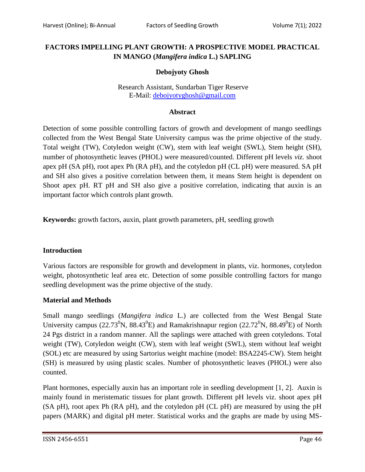## **FACTORS IMPELLING PLANT GROWTH: A PROSPECTIVE MODEL PRACTICAL IN MANGO (***Mangifera indica* **L.) SAPLING**

## **Debojyoty Ghosh**

#### Research Assistant, Sundarban Tiger Reserve E-Mail: [debojyotyghosh@gmail.com](mailto:debojyotyghosh@gmail.com)

#### **Abstract**

Detection of some possible controlling factors of growth and development of mango seedlings collected from the West Bengal State University campus was the prime objective of the study. Total weight (TW), Cotyledon weight (CW), stem with leaf weight (SWL), Stem height (SH), number of photosynthetic leaves (PHOL) were measured/counted. Different pH levels *viz.* shoot apex pH (SA pH), root apex Ph (RA pH), and the cotyledon pH (CL pH) were measured. SA pH and SH also gives a positive correlation between them, it means Stem height is dependent on Shoot apex pH. RT pH and SH also give a positive correlation, indicating that auxin is an important factor which controls plant growth.

**Keywords:** growth factors, auxin, plant growth parameters, pH, seedling growth

#### **Introduction**

Various factors are responsible for growth and development in plants, viz. hormones, cotyledon weight, photosynthetic leaf area etc. Detection of some possible controlling factors for mango seedling development was the prime objective of the study.

#### **Material and Methods**

Small mango seedlings (*Mangifera indica* L.) are collected from the West Bengal State University campus (22.73<sup>0</sup>N, 88.43<sup>0</sup>E) and Ramakrishnapur region (22.72<sup>0</sup>N, 88.49<sup>0</sup>E) of North 24 Pgs district in a random manner. All the saplings were attached with green cotyledons. Total weight (TW), Cotyledon weight (CW), stem with leaf weight (SWL), stem without leaf weight (SOL) etc are measured by using Sartorius weight machine (model: BSA2245-CW). Stem height (SH) is measured by using plastic scales. Number of photosynthetic leaves (PHOL) were also counted.

Plant hormones, especially auxin has an important role in seedling development [1, 2]. Auxin is mainly found in meristematic tissues for plant growth. Different pH levels viz. shoot apex pH (SA pH), root apex Ph (RA pH), and the cotyledon pH (CL pH) are measured by using the pH papers (MARK) and digital pH meter. Statistical works and the graphs are made by using MS-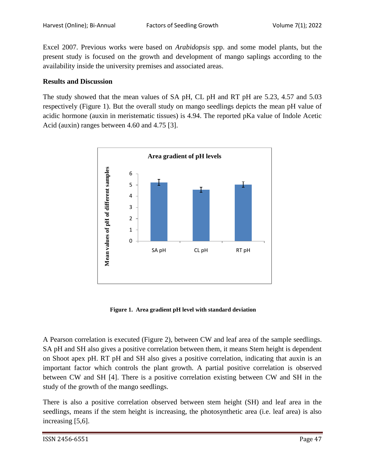Excel 2007. Previous works were based on *Arabidopsis* spp. and some model plants, but the present study is focused on the growth and development of mango saplings according to the availability inside the university premises and associated areas.

### **Results and Discussion**

The study showed that the mean values of SA pH, CL pH and RT pH are 5.23, 4.57 and 5.03 respectively (Figure 1). But the overall study on mango seedlings depicts the mean pH value of acidic hormone (auxin in meristematic tissues) is 4.94. The reported pKa value of Indole Acetic Acid (auxin) ranges between 4.60 and 4.75 [3].



 **Figure 1. Area gradient pH level with standard deviation**

A Pearson correlation is executed (Figure 2), between CW and leaf area of the sample seedlings. SA pH and SH also gives a positive correlation between them, it means Stem height is dependent on Shoot apex pH. RT pH and SH also gives a positive correlation, indicating that auxin is an important factor which controls the plant growth. A partial positive correlation is observed between CW and SH [4]. There is a positive correlation existing between CW and SH in the study of the growth of the mango seedlings.

There is also a positive correlation observed between stem height (SH) and leaf area in the seedlings, means if the stem height is increasing, the photosynthetic area (i.e. leaf area) is also increasing [5,6].